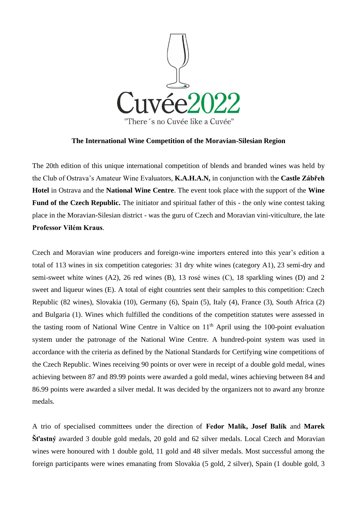

## **The International Wine Competition of the Moravian-Silesian Region**

The 20th edition of this unique international competition of blends and branded wines was held by the Club of Ostrava's Amateur Wine Evaluators, **K.A.H.A.N,** in conjunction with the **Castle Zábřeh Hotel** in Ostrava and the **National Wine Centre**. The event took place with the support of the **Wine Fund of the Czech Republic.** The initiator and spiritual father of this - the only wine contest taking place in the Moravian-Silesian district - was the guru of Czech and Moravian vini-viticulture, the late **Professor Vilém Kraus**.

Czech and Moravian wine producers and foreign-wine importers entered into this year's edition a total of 113 wines in six competition categories: 31 dry white wines (category A1), 23 semi-dry and semi-sweet white wines (A2), 26 red wines (B), 13 rosé wines (C), 18 sparkling wines (D) and 2 sweet and liqueur wines (E). A total of eight countries sent their samples to this competition: Czech Republic (82 wines), Slovakia (10), Germany (6), Spain (5), Italy (4), France (3), South Africa (2) and Bulgaria (1). Wines which fulfilled the conditions of the competition statutes were assessed in the tasting room of National Wine Centre in Valtice on  $11<sup>th</sup>$  April using the 100-point evaluation system under the patronage of the National Wine Centre. A hundred-point system was used in accordance with the criteria as defined by the National Standards for Certifying wine competitions of the Czech Republic. Wines receiving 90 points or over were in receipt of a double gold medal, wines achieving between 87 and 89.99 points were awarded a gold medal, wines achieving between 84 and 86.99 points were awarded a silver medal. It was decided by the organizers not to award any bronze medals.

A trio of specialised committees under the direction of **Fedor Malík, Josef Balík** and **Marek Šťastný** awarded 3 double gold medals, 20 gold and 62 silver medals. Local Czech and Moravian wines were honoured with 1 double gold, 11 gold and 48 silver medals. Most successful among the foreign participants were wines emanating from Slovakia (5 gold, 2 silver), Spain (1 double gold, 3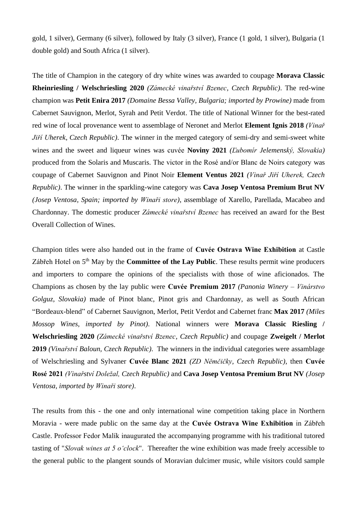gold, 1 silver), Germany (6 silver), followed by Italy (3 silver), France (1 gold, 1 silver), Bulgaria (1 double gold) and South Africa (1 silver).

The title of Champion in the category of dry white wines was awarded to coupage **Morava Classic Rheinriesling / Welschriesling 2020** *(Zámecké vinařství Bzenec, Czech Republic)*. The red-wine champion was **Petit Enira 2017** *(Domaine Bessa Valley, Bulgaria; imported by Prowine)* made from Cabernet Sauvignon, Merlot, Syrah and Petit Verdot. The title of National Winner for the best-rated red wine of local provenance went to assemblage of Neronet and Merlot **Element Ignis 2018** *(Vinař Jiří Uherek, Czech Republic)*. The winner in the merged category of semi-dry and semi-sweet white wines and the sweet and liqueur wines was cuvée **Noviny 2021** *(Ľubomír Jelemenský, Slovakia)* produced from the Solaris and Muscaris. The victor in the Rosé and/or Blanc de Noirs category was coupage of Cabernet Sauvignon and Pinot Noir **Element Ventus 2021** *(Vinař Jiří Uherek, Czech Republic)*. The winner in the sparkling-wine category was **Cava Josep Ventosa Premium Brut NV**  *(Josep Ventosa, Spain; imported by Winaři store)*, assemblage of Xarello, Parellada, Macabeo and Chardonnay. The domestic producer *Zámecké vinařství Bzenec* has received an award for the Best Overall Collection of Wines.

Champion titles were also handed out in the frame of **Cuvée Ostrava Wine Exhibition** at Castle Zábřeh Hotel on 5<sup>th</sup> May by the **Committee of the Lay Public**. These results permit wine producers and importers to compare the opinions of the specialists with those of wine aficionados. The Champions as chosen by the lay public were **Cuvée Premium 2017** *(Panonia Winery – Vinárstvo Golguz, Slovakia)* made of Pinot blanc, Pinot gris and Chardonnay, as well as South African "Bordeaux-blend" of Cabernet Sauvignon, Merlot, Petit Verdot and Cabernet franc **Max 2017** *(Miles Mossop Wines, imported by Pinot)*. National winners were **Morava Classic Riesling / Welschriesling 2020** *(Zámecké vinařství Bzenec, Czech Republic)* and coupage **Zweigelt / Merlot 2019** *(Vinařství Baloun, Czech Republic)*. The winners in the individual categories were assamblage of Welschriesling and Sylvaner **Cuvée Blanc 2021** *(ZD Němčičky, Czech Republic)*, then **Cuvée Rosé 2021** *(Vinařství Doležal, Czech Republic)* and **Cava Josep Ventosa Premium Brut NV** *(Josep Ventosa, imported by Winaři store)*.

The results from this - the one and only international wine competition taking place in Northern Moravia - were made public on the same day at the **Cuvée Ostrava Wine Exhibition** in Zábřeh Castle. Professor Fedor Malík inaugurated the accompanying programme with his traditional tutored tasting of "*Slovak wines at 5 o'clock*". Thereafter the wine exhibition was made freely accessible to the general public to the plangent sounds of Moravian dulcimer music, while visitors could sample